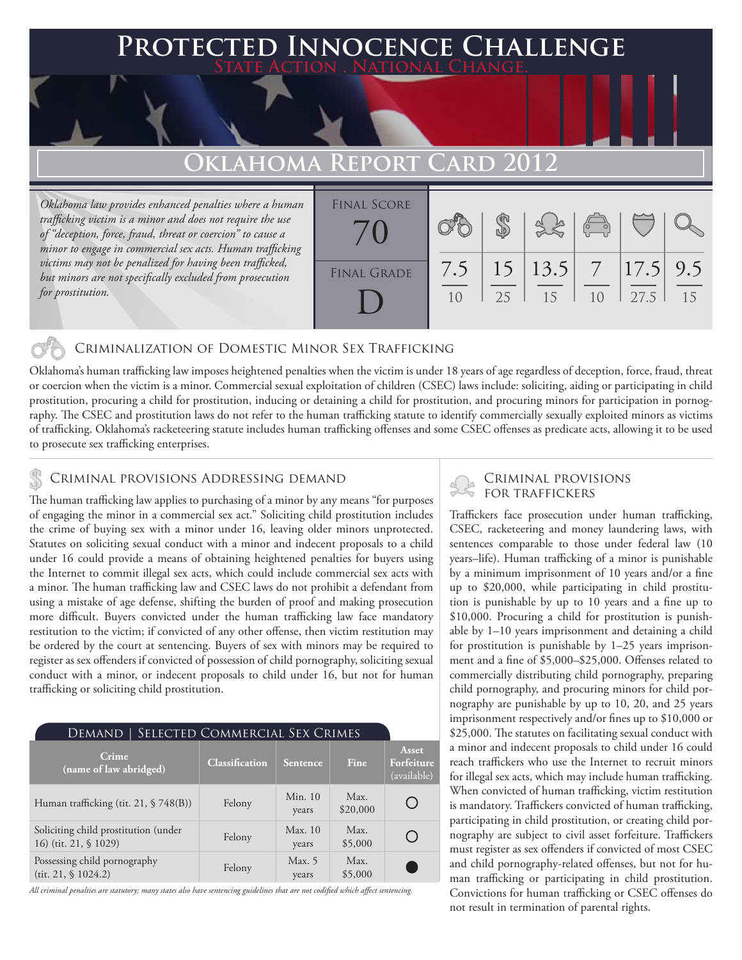### **FD INNOCENCE CHALLENGE State Action . National Change.**

## **Oklahoma Report Card 2012**

*Oklahoma law provides enhanced penalties where a human trafficking victim is a minor and does not require the use of "deception, force, fraud, threat or coercion" to cause a minor to engage in commercial sex acts. Human trafficking victims may not be penalized for having been trafficked, but minors are not specifically excluded from prosecution for prostitution.*

| <b>FINAL SCORE</b> |     |    |                             | $\begin{pmatrix} 0 & 0 \\ 0 & 0 \end{pmatrix}$ |                      |    |
|--------------------|-----|----|-----------------------------|------------------------------------------------|----------------------|----|
| <b>FINAL GRADE</b> | 7.5 | 25 | $15 \mid 13.5 \mid 7$<br>15 | 10                                             | $ 17.5 $ 9.5<br>27.5 | 15 |

#### Criminalization of Domestic Minor Sex Trafficking

Oklahoma's human trafficking law imposes heightened penalties when the victim is under 18 years of age regardless of deception, force, fraud, threat or coercion when the victim is a minor. Commercial sexual exploitation of children (CSEC) laws include: soliciting, aiding or participating in child prostitution, procuring a child for prostitution, inducing or detaining a child for prostitution, and procuring minors for participation in pornography. The CSEC and prostitution laws do not refer to the human trafficking statute to identify commercially sexually exploited minors as victims of trafficking. Oklahoma's racketeering statute includes human trafficking offenses and some CSEC offenses as predicate acts, allowing it to be used to prosecute sex trafficking enterprises.

## CRIMINAL PROVISIONS ADDRESSING DEMAND<br>FOR TRAFFICKERS

The human trafficking law applies to purchasing of a minor by any means "for purposes of engaging the minor in a commercial sex act." Soliciting child prostitution includes the crime of buying sex with a minor under 16, leaving older minors unprotected. Statutes on soliciting sexual conduct with a minor and indecent proposals to a child under 16 could provide a means of obtaining heightened penalties for buyers using the Internet to commit illegal sex acts, which could include commercial sex acts with a minor. The human trafficking law and CSEC laws do not prohibit a defendant from using a mistake of age defense, shifting the burden of proof and making prosecution more difficult. Buyers convicted under the human trafficking law face mandatory restitution to the victim; if convicted of any other offense, then victim restitution may be ordered by the court at sentencing. Buyers of sex with minors may be required to register as sex offenders if convicted of possession of child pornography, soliciting sexual conduct with a minor, or indecent proposals to child under 16, but not for human trafficking or soliciting child prostitution.

| SELECTED COMMERCIAL SEX CRIMES<br>Demand                      |                       |                  |                  |                                           |  |  |  |
|---------------------------------------------------------------|-----------------------|------------------|------------------|-------------------------------------------|--|--|--|
| Crime<br>(name of law abridged)                               | <b>Classification</b> | <b>Sentence</b>  | Fine             | <b>Asset</b><br>Forfeiture<br>(available) |  |  |  |
| Human trafficking (tit. 21, § 748(B))                         | Felony                | Min. 10<br>years | Max.<br>\$20,000 |                                           |  |  |  |
| Soliciting child prostitution (under<br>16) (tit. 21, § 1029) | Felony                | Max. 10<br>years | Max.<br>\$5,000  |                                           |  |  |  |
| Possessing child pornography<br>(tit. 21, \$1024.2)           | Felony                | Max. 5<br>years  | Max.<br>\$5,000  |                                           |  |  |  |

*All criminal penalties are statutory; many states also have sentencing guidelines that are not codified which affect sentencing.* 

# Criminal provisions

Traffickers face prosecution under human trafficking, CSEC, racketeering and money laundering laws, with sentences comparable to those under federal law (10 years–life). Human trafficking of a minor is punishable by a minimum imprisonment of 10 years and/or a fine up to \$20,000, while participating in child prostitution is punishable by up to 10 years and a fine up to \$10,000. Procuring a child for prostitution is punishable by 1–10 years imprisonment and detaining a child for prostitution is punishable by 1–25 years imprisonment and a fine of \$5,000–\$25,000. Offenses related to commercially distributing child pornography, preparing child pornography, and procuring minors for child pornography are punishable by up to 10, 20, and 25 years imprisonment respectively and/or fines up to \$10,000 or \$25,000. The statutes on facilitating sexual conduct with a minor and indecent proposals to child under 16 could reach traffickers who use the Internet to recruit minors for illegal sex acts, which may include human trafficking. When convicted of human trafficking, victim restitution is mandatory. Traffickers convicted of human trafficking, participating in child prostitution, or creating child pornography are subject to civil asset forfeiture. Traffickers must register as sex offenders if convicted of most CSEC and child pornography-related offenses, but not for human trafficking or participating in child prostitution. Convictions for human trafficking or CSEC offenses do not result in termination of parental rights.